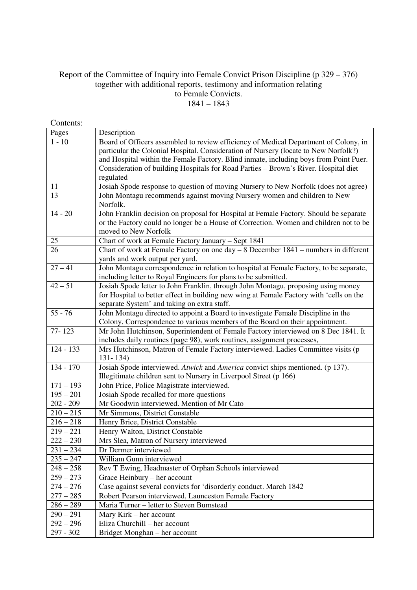## Report of the Committee of Inquiry into Female Convict Prison Discipline (p 329 – 376) together with additional reports, testimony and information relating to Female Convicts. 1841 – 1843

| Contents:              |                                                                                                                                                                                                                                                                                                                                                                          |
|------------------------|--------------------------------------------------------------------------------------------------------------------------------------------------------------------------------------------------------------------------------------------------------------------------------------------------------------------------------------------------------------------------|
| Pages                  | Description                                                                                                                                                                                                                                                                                                                                                              |
| $1 - 10$               | Board of Officers assembled to review efficiency of Medical Department of Colony, in<br>particular the Colonial Hospital. Consideration of Nursery (locate to New Norfolk?)<br>and Hospital within the Female Factory. Blind inmate, including boys from Point Puer.<br>Consideration of building Hospitals for Road Parties - Brown's River. Hospital diet<br>regulated |
| 11                     | Josiah Spode response to question of moving Nursery to New Norfolk (does not agree)                                                                                                                                                                                                                                                                                      |
| 13                     | John Montagu recommends against moving Nursery women and children to New<br>Norfolk.                                                                                                                                                                                                                                                                                     |
| $14 - 20$              | John Franklin decision on proposal for Hospital at Female Factory. Should be separate<br>or the Factory could no longer be a House of Correction. Women and children not to be<br>moved to New Norfolk                                                                                                                                                                   |
| 25                     | Chart of work at Female Factory January - Sept 1841                                                                                                                                                                                                                                                                                                                      |
| 26                     | Chart of work at Female Factory on one day $-8$ December 1841 $-$ numbers in different<br>yards and work output per yard.                                                                                                                                                                                                                                                |
| $27 - 41$              | John Montagu correspondence in relation to hospital at Female Factory, to be separate,<br>including letter to Royal Engineers for plans to be submitted.                                                                                                                                                                                                                 |
| $42 - 51$              | Josiah Spode letter to John Franklin, through John Montagu, proposing using money<br>for Hospital to better effect in building new wing at Female Factory with 'cells on the<br>separate System' and taking on extra staff.                                                                                                                                              |
| $55 - 76$              | John Montagu directed to appoint a Board to investigate Female Discipline in the<br>Colony. Correspondence to various members of the Board on their appointment.                                                                                                                                                                                                         |
| 77-123                 | Mr John Hutchinson, Superintendent of Female Factory interviewed on 8 Dec 1841. It<br>includes daily routines (page 98), work routines, assignment processes,                                                                                                                                                                                                            |
| $\overline{124} - 133$ | Mrs Hutchinson, Matron of Female Factory interviewed. Ladies Committee visits (p<br>$131 - 134$                                                                                                                                                                                                                                                                          |
| 134 - 170              | Josiah Spode interviewed. Atwick and America convict ships mentioned. (p 137).<br>Illegitimate children sent to Nursery in Liverpool Street (p 166)                                                                                                                                                                                                                      |
| $171 - 193$            | John Price, Police Magistrate interviewed.                                                                                                                                                                                                                                                                                                                               |
| $195 - 201$            | Josiah Spode recalled for more questions                                                                                                                                                                                                                                                                                                                                 |
| $202 - 209$            | Mr Goodwin interviewed. Mention of Mr Cato                                                                                                                                                                                                                                                                                                                               |
| $210 - 215$            | Mr Simmons, District Constable                                                                                                                                                                                                                                                                                                                                           |
| $216 - 218$            | Henry Brice, District Constable                                                                                                                                                                                                                                                                                                                                          |
| $219 - 221$            | Henry Walton, District Constable                                                                                                                                                                                                                                                                                                                                         |
| $222 - 230$            | Mrs Slea, Matron of Nursery interviewed                                                                                                                                                                                                                                                                                                                                  |
| $231 - 234$            | Dr Dermer interviewed                                                                                                                                                                                                                                                                                                                                                    |
| $235 - 247$            | William Gunn interviewed                                                                                                                                                                                                                                                                                                                                                 |
| $248 - 258$            | Rev T Ewing, Headmaster of Orphan Schools interviewed                                                                                                                                                                                                                                                                                                                    |
| $259 - 273$            | Grace Heinbury - her account                                                                                                                                                                                                                                                                                                                                             |
| $274 - 276$            | Case against several convicts for 'disorderly conduct. March 1842                                                                                                                                                                                                                                                                                                        |
| $277 - 285$            | Robert Pearson interviewed, Launceston Female Factory                                                                                                                                                                                                                                                                                                                    |
| $286 - 289$            | Maria Turner - letter to Steven Bumstead                                                                                                                                                                                                                                                                                                                                 |
| $290 - 291$            | Mary Kirk - her account                                                                                                                                                                                                                                                                                                                                                  |
| $292 - 296$            | Eliza Churchill – her account                                                                                                                                                                                                                                                                                                                                            |
| 297 - 302              | Bridget Monghan – her account                                                                                                                                                                                                                                                                                                                                            |